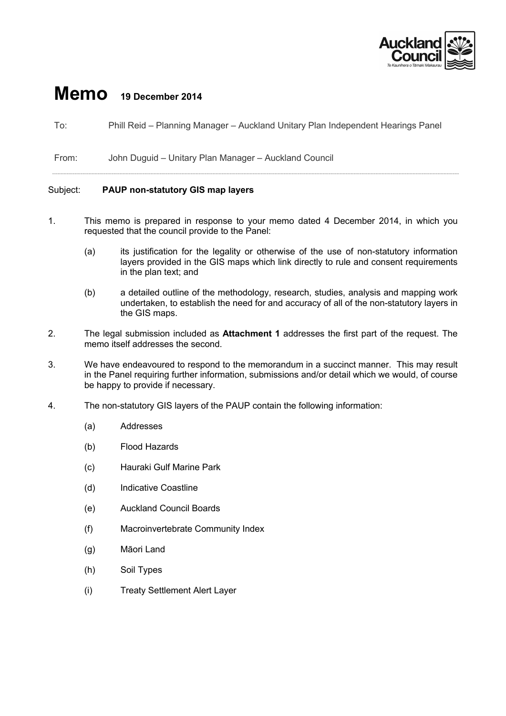

## **Memo 19 December 2014**

To: Phill Reid – Planning Manager – Auckland Unitary Plan Independent Hearings Panel

From: John Duguid – Unitary Plan Manager – Auckland Council

## Subject: **PAUP non-statutory GIS map layers**

- 1. This memo is prepared in response to your memo dated 4 December 2014, in which you requested that the council provide to the Panel:
	- (a) its justification for the legality or otherwise of the use of non-statutory information layers provided in the GIS maps which link directly to rule and consent requirements in the plan text; and
	- (b) a detailed outline of the methodology, research, studies, analysis and mapping work undertaken, to establish the need for and accuracy of all of the non-statutory layers in the GIS maps.
- 2. The legal submission included as **Attachment 1** addresses the first part of the request. The memo itself addresses the second.
- 3. We have endeavoured to respond to the memorandum in a succinct manner. This may result in the Panel requiring further information, submissions and/or detail which we would, of course be happy to provide if necessary.
- 4. The non-statutory GIS layers of the PAUP contain the following information:
	- (a) Addresses
	- (b) Flood Hazards
	- (c) Hauraki Gulf Marine Park
	- (d) Indicative Coastline
	- (e) Auckland Council Boards
	- (f) Macroinvertebrate Community Index
	- (g) Māori Land
	- (h) Soil Types
	- (i) Treaty Settlement Alert Layer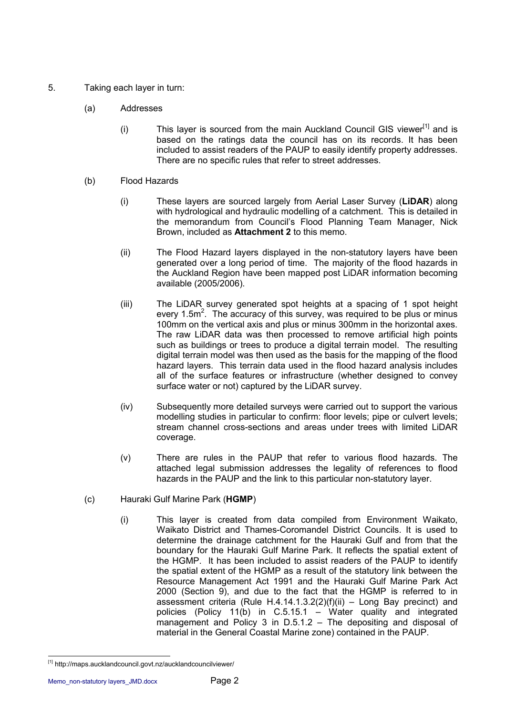- 5. Taking each layer in turn:
	- (a) Addresses
		- (i) This layer is sourced from the main Auckland Council GIS viewer<sup>[1]</sup> and is based on the ratings data the council has on its records. It has been included to assist readers of the PAUP to easily identify property addresses. There are no specific rules that refer to street addresses.
	- (b) Flood Hazards
		- (i) These layers are sourced largely from Aerial Laser Survey (**LiDAR**) along with hydrological and hydraulic modelling of a catchment. This is detailed in the memorandum from Council's Flood Planning Team Manager, Nick Brown, included as **Attachment 2** to this memo.
		- (ii) The Flood Hazard layers displayed in the non-statutory layers have been generated over a long period of time. The majority of the flood hazards in the Auckland Region have been mapped post LiDAR information becoming available (2005/2006).
		- (iii) The LiDAR survey generated spot heights at a spacing of 1 spot height every 1.5 $m^2$ . The accuracy of this survey, was required to be plus or minus 100mm on the vertical axis and plus or minus 300mm in the horizontal axes. The raw LiDAR data was then processed to remove artificial high points such as buildings or trees to produce a digital terrain model. The resulting digital terrain model was then used as the basis for the mapping of the flood hazard layers. This terrain data used in the flood hazard analysis includes all of the surface features or infrastructure (whether designed to convey surface water or not) captured by the LiDAR survey.
		- (iv) Subsequently more detailed surveys were carried out to support the various modelling studies in particular to confirm: floor levels; pipe or culvert levels; stream channel cross-sections and areas under trees with limited LiDAR coverage.
		- (v) There are rules in the PAUP that refer to various flood hazards. The attached legal submission addresses the legality of references to flood hazards in the PAUP and the link to this particular non-statutory layer.
	- (c) Hauraki Gulf Marine Park (**HGMP**)
		- (i) This layer is created from data compiled from Environment Waikato, Waikato District and Thames-Coromandel District Councils. It is used to determine the drainage catchment for the Hauraki Gulf and from that the boundary for the Hauraki Gulf Marine Park. It reflects the spatial extent of the HGMP. It has been included to assist readers of the PAUP to identify the spatial extent of the HGMP as a result of the statutory link between the Resource Management Act 1991 and the Hauraki Gulf Marine Park Act 2000 (Section 9), and due to the fact that the HGMP is referred to in assessment criteria (Rule H.4.14.1.3.2(2)(f)(ii) – Long Bay precinct) and policies (Policy 11(b) in C.5.15.1 – Water quality and integrated management and Policy 3 in D.5.1.2 – The depositing and disposal of material in the General Coastal Marine zone) contained in the PAUP.

<sup>1</sup> [1] <http://maps.aucklandcouncil.govt.nz/aucklandcouncilviewer/>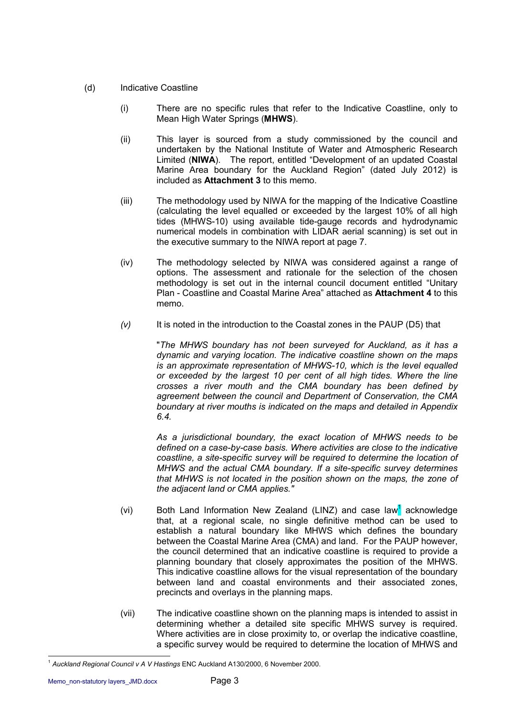- (d) Indicative Coastline
	- (i) There are no specific rules that refer to the Indicative Coastline, only to Mean High Water Springs (**MHWS**).
	- (ii) This layer is sourced from a study commissioned by the council and undertaken by the National Institute of Water and Atmospheric Research Limited (**NIWA**). The report, entitled "Development of an updated Coastal Marine Area boundary for the Auckland Region" (dated July 2012) is included as **Attachment 3** to this memo.
	- (iii) The methodology used by NIWA for the mapping of the Indicative Coastline (calculating the level equalled or exceeded by the largest 10% of all high tides (MHWS-10) using available tide-gauge records and hydrodynamic numerical models in combination with LIDAR aerial scanning) is set out in the executive summary to the NIWA report at page 7.
	- (iv) The methodology selected by NIWA was considered against a range of options. The assessment and rationale for the selection of the chosen methodology is set out in the internal council document entitled "Unitary Plan - Coastline and Coastal Marine Area" attached as **Attachment 4** to this memo.
	- *(v)* It is noted in the introduction to the Coastal zones in the PAUP (D5) that

"*The MHWS boundary has not been surveyed for Auckland, as it has a dynamic and varying location. The indicative coastline shown on the maps is an approximate representation of MHWS-10, which is the level equalled or exceeded by the largest 10 per cent of all high tides. Where the line crosses a river mouth and the CMA boundary has been defined by agreement between the council and Department of Conservation, the CMA boundary at river mouths is indicated on the maps and detailed in Appendix 6.4.*

*As a jurisdictional boundary, the exact location of MHWS needs to be defined on a case-by-case basis. Where activities are close to the indicative coastline, a site-specific survey will be required to determine the location of MHWS and the actual CMA boundary. If a site-specific survey determines that MHWS is not located in the position shown on the maps, the zone of the adjacent land or CMA applies."*

- (vi) Both Land Information New Zealand (LINZ) and case law<sup>1</sup> acknowledge that, at a regional scale, no single definitive method can be used to establish a natural boundary like MHWS which defines the boundary between the Coastal Marine Area (CMA) and land. For the PAUP however, the council determined that an indicative coastline is required to provide a planning boundary that closely approximates the position of the MHWS. This indicative coastline allows for the visual representation of the boundary between land and coastal environments and their associated zones, precincts and overlays in the planning maps.
- (vii) The indicative coastline shown on the planning maps is intended to assist in determining whether a detailed site specific MHWS survey is required. Where activities are in close proximity to, or overlap the indicative coastline, a specific survey would be required to determine the location of MHWS and

<sup>1</sup> <sup>1</sup> *Auckland Regional Council v A V Hastings* ENC Auckland A130/2000, 6 November 2000.